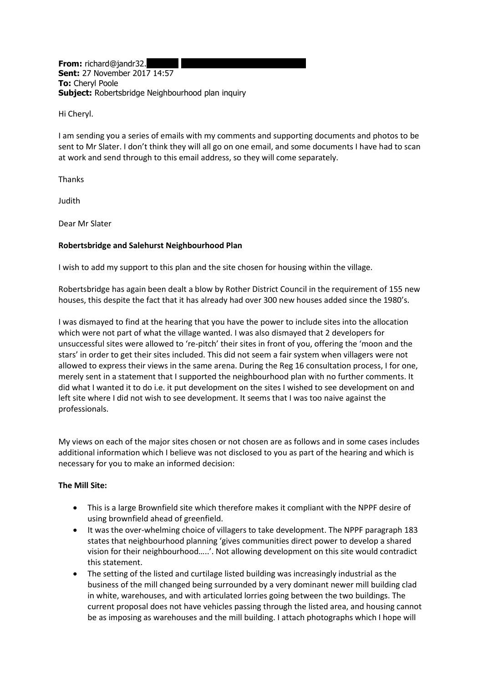**From:** richard@jandr32. **Sent:** 27 November 2017 14:57 **To:** Cheryl Poole **Subject:** Robertsbridge Neighbourhood plan inquiry

Hi Cheryl.

I am sending you a series of emails with my comments and supporting documents and photos to be sent to Mr Slater. I don't think they will all go on one email, and some documents I have had to scan at work and send through to this email address, so they will come separately.

Thanks

Judith

Dear Mr Slater

# **Robertsbridge and Salehurst Neighbourhood Plan**

I wish to add my support to this plan and the site chosen for housing within the village.

Robertsbridge has again been dealt a blow by Rother District Council in the requirement of 155 new houses, this despite the fact that it has already had over 300 new houses added since the 1980's.

I was dismayed to find at the hearing that you have the power to include sites into the allocation which were not part of what the village wanted. I was also dismayed that 2 developers for unsuccessful sites were allowed to 're-pitch' their sites in front of you, offering the 'moon and the stars' in order to get their sites included. This did not seem a fair system when villagers were not allowed to express their views in the same arena. During the Reg 16 consultation process, I for one, merely sent in a statement that I supported the neighbourhood plan with no further comments. It did what I wanted it to do i.e. it put development on the sites I wished to see development on and left site where I did not wish to see development. It seems that I was too naive against the professionals.

My views on each of the major sites chosen or not chosen are as follows and in some cases includes additional information which I believe was not disclosed to you as part of the hearing and which is necessary for you to make an informed decision:

# **The Mill Site:**

- This is a large Brownfield site which therefore makes it compliant with the NPPF desire of using brownfield ahead of greenfield.
- It was the over-whelming choice of villagers to take development. The NPPF paragraph 183 states that neighbourhood planning 'gives communities direct power to develop a shared vision for their neighbourhood…..'. Not allowing development on this site would contradict this statement.
- The setting of the listed and curtilage listed building was increasingly industrial as the business of the mill changed being surrounded by a very dominant newer mill building clad in white, warehouses, and with articulated lorries going between the two buildings. The current proposal does not have vehicles passing through the listed area, and housing cannot be as imposing as warehouses and the mill building. I attach photographs which I hope will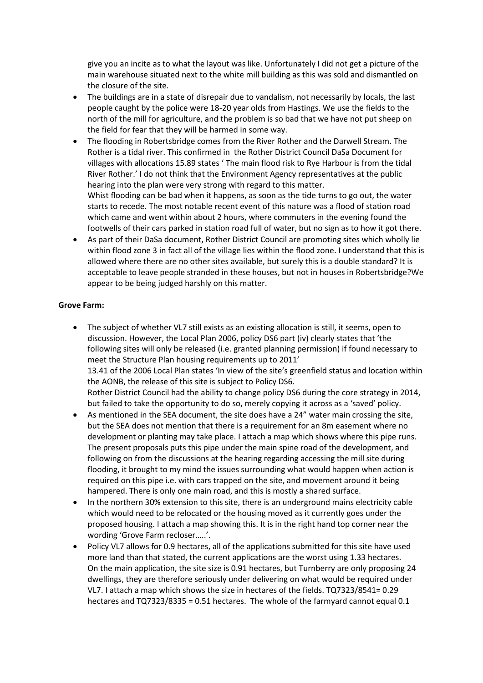give you an incite as to what the layout was like. Unfortunately I did not get a picture of the main warehouse situated next to the white mill building as this was sold and dismantled on the closure of the site.

- The buildings are in a state of disrepair due to vandalism, not necessarily by locals, the last people caught by the police were 18-20 year olds from Hastings. We use the fields to the north of the mill for agriculture, and the problem is so bad that we have not put sheep on the field for fear that they will be harmed in some way.
- The flooding in Robertsbridge comes from the River Rother and the Darwell Stream. The Rother is a tidal river. This confirmed in the Rother District Council DaSa Document for villages with allocations 15.89 states ' The main flood risk to Rye Harbour is from the tidal River Rother.' I do not think that the Environment Agency representatives at the public hearing into the plan were very strong with regard to this matter. Whist flooding can be bad when it happens, as soon as the tide turns to go out, the water starts to recede. The most notable recent event of this nature was a flood of station road which came and went within about 2 hours, where commuters in the evening found the footwells of their cars parked in station road full of water, but no sign as to how it got there.
- As part of their DaSa document, Rother District Council are promoting sites which wholly lie within flood zone 3 in fact all of the village lies within the flood zone. I understand that this is allowed where there are no other sites available, but surely this is a double standard? It is acceptable to leave people stranded in these houses, but not in houses in Robertsbridge?We appear to be being judged harshly on this matter.

# **Grove Farm:**

- The subject of whether VL7 still exists as an existing allocation is still, it seems, open to discussion. However, the Local Plan 2006, policy DS6 part (iv) clearly states that 'the following sites will only be released (i.e. granted planning permission) if found necessary to meet the Structure Plan housing requirements up to 2011' 13.41 of the 2006 Local Plan states 'In view of the site's greenfield status and location within the AONB, the release of this site is subject to Policy DS6. Rother District Council had the ability to change policy DS6 during the core strategy in 2014, but failed to take the opportunity to do so, merely copying it across as a 'saved' policy.
- As mentioned in the SEA document, the site does have a 24" water main crossing the site, but the SEA does not mention that there is a requirement for an 8m easement where no development or planting may take place. I attach a map which shows where this pipe runs. The present proposals puts this pipe under the main spine road of the development, and following on from the discussions at the hearing regarding accessing the mill site during flooding, it brought to my mind the issues surrounding what would happen when action is required on this pipe i.e. with cars trapped on the site, and movement around it being hampered. There is only one main road, and this is mostly a shared surface.
- In the northern 30% extension to this site, there is an underground mains electricity cable which would need to be relocated or the housing moved as it currently goes under the proposed housing. I attach a map showing this. It is in the right hand top corner near the wording 'Grove Farm recloser…..'.
- Policy VL7 allows for 0.9 hectares, all of the applications submitted for this site have used more land than that stated, the current applications are the worst using 1.33 hectares. On the main application, the site size is 0.91 hectares, but Turnberry are only proposing 24 dwellings, they are therefore seriously under delivering on what would be required under VL7. I attach a map which shows the size in hectares of the fields. TQ7323/8541= 0.29 hectares and TQ7323/8335 = 0.51 hectares. The whole of the farmyard cannot equal 0.1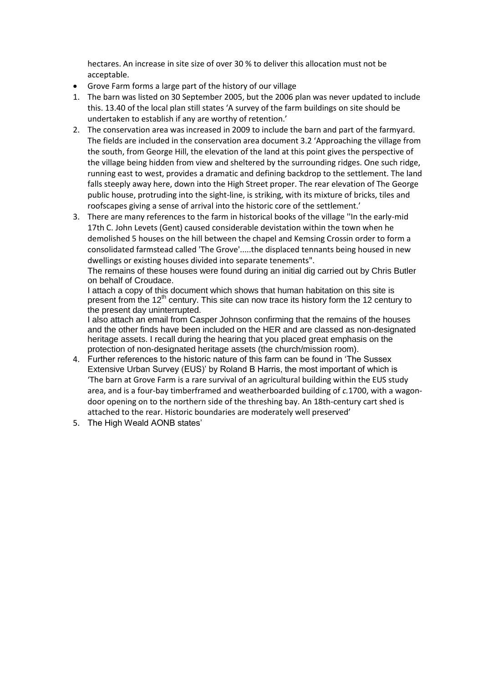hectares. An increase in site size of over 30 % to deliver this allocation must not be acceptable.

- Grove Farm forms a large part of the history of our village
- 1. The barn was listed on 30 September 2005, but the 2006 plan was never updated to include this. 13.40 of the local plan still states 'A survey of the farm buildings on site should be undertaken to establish if any are worthy of retention.'
- 2. The conservation area was increased in 2009 to include the barn and part of the farmyard. The fields are included in the conservation area document 3.2 'Approaching the village from the south, from George Hill, the elevation of the land at this point gives the perspective of the village being hidden from view and sheltered by the surrounding ridges. One such ridge, running east to west, provides a dramatic and defining backdrop to the settlement. The land falls steeply away here, down into the High Street proper. The rear elevation of The George public house, protruding into the sight-line, is striking, with its mixture of bricks, tiles and roofscapes giving a sense of arrival into the historic core of the settlement.'
- 3. There are many references to the farm in historical books of the village ''In the early-mid 17th C. John Levets (Gent) caused considerable devistation within the town when he demolished 5 houses on the hill between the chapel and Kemsing Crossin order to form a consolidated farmstead called 'The Grove'.....the displaced tennants being housed in new dwellings or existing houses divided into separate tenements".

The remains of these houses were found during an initial dig carried out by Chris Butler on behalf of Croudace.

I attach a copy of this document which shows that human habitation on this site is present from the 12<sup>th</sup> century. This site can now trace its history form the 12 century to the present day uninterrupted.

I also attach an email from Casper Johnson confirming that the remains of the houses and the other finds have been included on the HER and are classed as non-designated heritage assets. I recall during the hearing that you placed great emphasis on the protection of non-designated heritage assets (the church/mission room).

- 4. Further references to the historic nature of this farm can be found in 'The Sussex Extensive Urban Survey (EUS)' by Roland B Harris, the most important of which is 'The barn at Grove Farm is a rare survival of an agricultural building within the EUS study area, and is a four-bay timberframed and weatherboarded building of *c.*1700, with a wagondoor opening on to the northern side of the threshing bay. An 18th-century cart shed is attached to the rear. Historic boundaries are moderately well preserved'
- 5. The High Weald AONB states'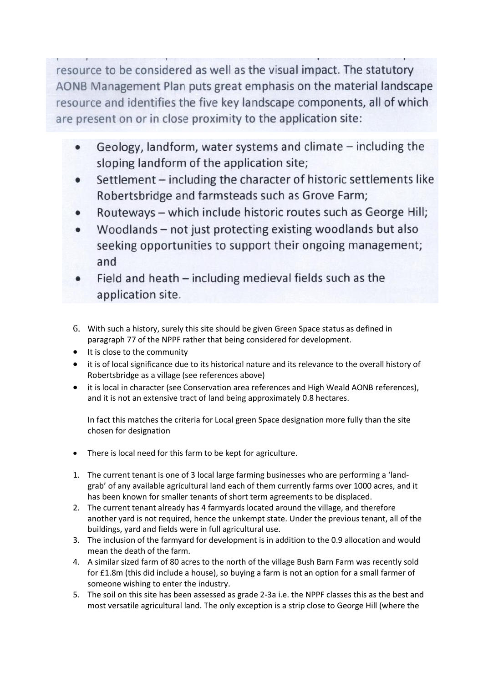resource to be considered as well as the visual impact. The statutory AONB Management Plan puts great emphasis on the material landscape resource and identifies the five key landscape components, all of which are present on or in close proximity to the application site:

- Geology, landform, water systems and climate including the sloping landform of the application site;
- Settlement including the character of historic settlements like Robertsbridge and farmsteads such as Grove Farm;
- Routeways which include historic routes such as George Hill;
- Woodlands not just protecting existing woodlands but also seeking opportunities to support their ongoing management; and
- Field and heath including medieval fields such as the application site.
- 6. With such a history, surely this site should be given Green Space status as defined in paragraph 77 of the NPPF rather that being considered for development.
- It is close to the community
- it is of local significance due to its historical nature and its relevance to the overall history of Robertsbridge as a village (see references above)
- it is local in character (see Conservation area references and High Weald AONB references), and it is not an extensive tract of land being approximately 0.8 hectares.

In fact this matches the criteria for Local green Space designation more fully than the site chosen for designation

- There is local need for this farm to be kept for agriculture.
- 1. The current tenant is one of 3 local large farming businesses who are performing a 'landgrab' of any available agricultural land each of them currently farms over 1000 acres, and it has been known for smaller tenants of short term agreements to be displaced.
- 2. The current tenant already has 4 farmyards located around the village, and therefore another yard is not required, hence the unkempt state. Under the previous tenant, all of the buildings, yard and fields were in full agricultural use.
- 3. The inclusion of the farmyard for development is in addition to the 0.9 allocation and would mean the death of the farm.
- 4. A similar sized farm of 80 acres to the north of the village Bush Barn Farm was recently sold for £1.8m (this did include a house), so buying a farm is not an option for a small farmer of someone wishing to enter the industry.
- 5. The soil on this site has been assessed as grade 2-3a i.e. the NPPF classes this as the best and most versatile agricultural land. The only exception is a strip close to George Hill (where the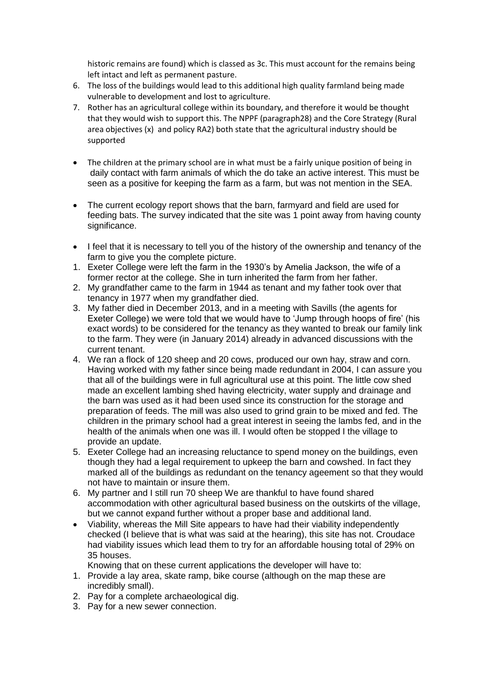historic remains are found) which is classed as 3c. This must account for the remains being left intact and left as permanent pasture.

- 6. The loss of the buildings would lead to this additional high quality farmland being made vulnerable to development and lost to agriculture.
- 7. Rother has an agricultural college within its boundary, and therefore it would be thought that they would wish to support this. The NPPF (paragraph28) and the Core Strategy (Rural area objectives (x) and policy RA2) both state that the agricultural industry should be supported
- The children at the primary school are in what must be a fairly unique position of being in daily contact with farm animals of which the do take an active interest. This must be seen as a positive for keeping the farm as a farm, but was not mention in the SEA.
- The current ecology report shows that the barn, farmyard and field are used for feeding bats. The survey indicated that the site was 1 point away from having county significance.
- I feel that it is necessary to tell you of the history of the ownership and tenancy of the farm to give you the complete picture.
- 1. Exeter College were left the farm in the 1930's by Amelia Jackson, the wife of a former rector at the college. She in turn inherited the farm from her father.
- 2. My grandfather came to the farm in 1944 as tenant and my father took over that tenancy in 1977 when my grandfather died.
- 3. My father died in December 2013, and in a meeting with Savills (the agents for Exeter College) we were told that we would have to 'Jump through hoops of fire' (his exact words) to be considered for the tenancy as they wanted to break our family link to the farm. They were (in January 2014) already in advanced discussions with the current tenant.
- 4. We ran a flock of 120 sheep and 20 cows, produced our own hay, straw and corn. Having worked with my father since being made redundant in 2004, I can assure you that all of the buildings were in full agricultural use at this point. The little cow shed made an excellent lambing shed having electricity, water supply and drainage and the barn was used as it had been used since its construction for the storage and preparation of feeds. The mill was also used to grind grain to be mixed and fed. The children in the primary school had a great interest in seeing the lambs fed, and in the health of the animals when one was ill. I would often be stopped I the village to provide an update.
- 5. Exeter College had an increasing reluctance to spend money on the buildings, even though they had a legal requirement to upkeep the barn and cowshed. In fact they marked all of the buildings as redundant on the tenancy ageement so that they would not have to maintain or insure them.
- 6. My partner and I still run 70 sheep We are thankful to have found shared accommodation with other agricultural based business on the outskirts of the village, but we cannot expand further without a proper base and additional land.
- Viability, whereas the Mill Site appears to have had their viability independently checked (I believe that is what was said at the hearing), this site has not. Croudace had viability issues which lead them to try for an affordable housing total of 29% on 35 houses.

Knowing that on these current applications the developer will have to:

- 1. Provide a lay area, skate ramp, bike course (although on the map these are incredibly small).
- 2. Pay for a complete archaeological dig.
- 3. Pay for a new sewer connection.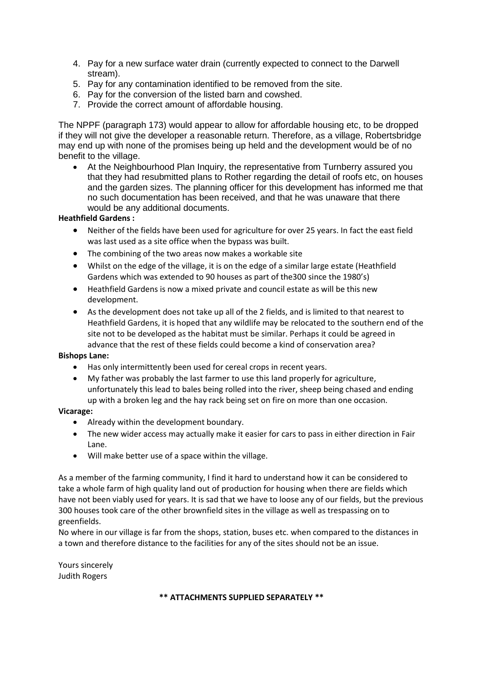- 4. Pay for a new surface water drain (currently expected to connect to the Darwell stream).
- 5. Pay for any contamination identified to be removed from the site.
- 6. Pay for the conversion of the listed barn and cowshed.
- 7. Provide the correct amount of affordable housing.

The NPPF (paragraph 173) would appear to allow for affordable housing etc, to be dropped if they will not give the developer a reasonable return. Therefore, as a village, Robertsbridge may end up with none of the promises being up held and the development would be of no benefit to the village.

 At the Neighbourhood Plan Inquiry, the representative from Turnberry assured you that they had resubmitted plans to Rother regarding the detail of roofs etc, on houses and the garden sizes. The planning officer for this development has informed me that no such documentation has been received, and that he was unaware that there would be any additional documents.

# **Heathfield Gardens :**

- Neither of the fields have been used for agriculture for over 25 years. In fact the east field was last used as a site office when the bypass was built.
- The combining of the two areas now makes a workable site
- Whilst on the edge of the village, it is on the edge of a similar large estate (Heathfield Gardens which was extended to 90 houses as part of the300 since the 1980's)
- Heathfield Gardens is now a mixed private and council estate as will be this new development.
- As the development does not take up all of the 2 fields, and is limited to that nearest to Heathfield Gardens, it is hoped that any wildlife may be relocated to the southern end of the site not to be developed as the habitat must be similar. Perhaps it could be agreed in advance that the rest of these fields could become a kind of conservation area?

# **Bishops Lane:**

- Has only intermittently been used for cereal crops in recent years.
- My father was probably the last farmer to use this land properly for agriculture, unfortunately this lead to bales being rolled into the river, sheep being chased and ending up with a broken leg and the hay rack being set on fire on more than one occasion.

# **Vicarage:**

- Already within the development boundary.
- The new wider access may actually make it easier for cars to pass in either direction in Fair Lane.
- Will make better use of a space within the village.

As a member of the farming community, I find it hard to understand how it can be considered to take a whole farm of high quality land out of production for housing when there are fields which have not been viably used for years. It is sad that we have to loose any of our fields, but the previous 300 houses took care of the other brownfield sites in the village as well as trespassing on to greenfields.

No where in our village is far from the shops, station, buses etc. when compared to the distances in a town and therefore distance to the facilities for any of the sites should not be an issue.

Yours sincerely Judith Rogers

# **\*\* ATTACHMENTS SUPPLIED SEPARATELY \*\***